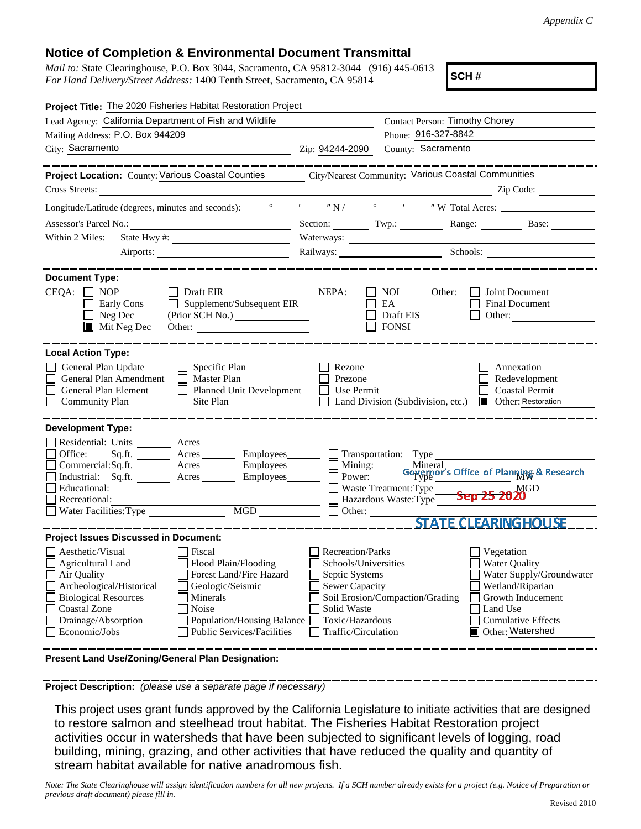## **Notice of Completion & Environmental Document Transmittal**

*Mail to:* State Clearinghouse, P.O. Box 3044, Sacramento, CA 95812-3044 (916) 445-0613 *For Hand Delivery/Street Address:* 1400 Tenth Street, Sacramento, CA 95814

**SCH #**

| Project Title: The 2020 Fisheries Habitat Restoration Project                                                                                                                                                                                                                                                                                                         |                                                                                                                                                                                                                                                                                                                                                                                                                                                                                                                               |  |  |
|-----------------------------------------------------------------------------------------------------------------------------------------------------------------------------------------------------------------------------------------------------------------------------------------------------------------------------------------------------------------------|-------------------------------------------------------------------------------------------------------------------------------------------------------------------------------------------------------------------------------------------------------------------------------------------------------------------------------------------------------------------------------------------------------------------------------------------------------------------------------------------------------------------------------|--|--|
| Lead Agency: California Department of Fish and Wildlife                                                                                                                                                                                                                                                                                                               | Contact Person: Timothy Chorey                                                                                                                                                                                                                                                                                                                                                                                                                                                                                                |  |  |
| Mailing Address: P.O. Box 944209                                                                                                                                                                                                                                                                                                                                      | Phone: 916-327-8842                                                                                                                                                                                                                                                                                                                                                                                                                                                                                                           |  |  |
| City: Sacramento                                                                                                                                                                                                                                                                                                                                                      | County: Sacramento<br>Zip: 94244-2090                                                                                                                                                                                                                                                                                                                                                                                                                                                                                         |  |  |
|                                                                                                                                                                                                                                                                                                                                                                       |                                                                                                                                                                                                                                                                                                                                                                                                                                                                                                                               |  |  |
| Project Location: County: Various Coastal Counties City/Nearest Community: Various Coastal Communities                                                                                                                                                                                                                                                                |                                                                                                                                                                                                                                                                                                                                                                                                                                                                                                                               |  |  |
| Cross Streets:                                                                                                                                                                                                                                                                                                                                                        | Zip Code:                                                                                                                                                                                                                                                                                                                                                                                                                                                                                                                     |  |  |
|                                                                                                                                                                                                                                                                                                                                                                       |                                                                                                                                                                                                                                                                                                                                                                                                                                                                                                                               |  |  |
| Assessor's Parcel No.:                                                                                                                                                                                                                                                                                                                                                | Section: $\qquad \qquad \text{Two:}$<br>Range: Base:                                                                                                                                                                                                                                                                                                                                                                                                                                                                          |  |  |
| Within 2 Miles:                                                                                                                                                                                                                                                                                                                                                       | Waterways:                                                                                                                                                                                                                                                                                                                                                                                                                                                                                                                    |  |  |
|                                                                                                                                                                                                                                                                                                                                                                       | Railways: Schools: Schools:                                                                                                                                                                                                                                                                                                                                                                                                                                                                                                   |  |  |
|                                                                                                                                                                                                                                                                                                                                                                       |                                                                                                                                                                                                                                                                                                                                                                                                                                                                                                                               |  |  |
| <b>Document Type:</b><br>$CEQA: \Box NP$<br>$\Box$ Draft EIR<br>Supplement/Subsequent EIR<br>Early Cons<br>$\Box$ Neg Dec<br>$\blacksquare$ Mit Neg Dec<br>Other:                                                                                                                                                                                                     | NEPA:<br>NOI.<br>Other:<br>Joint Document<br>EA<br>Final Document<br>Draft EIS<br>Other: $\qquad \qquad$<br><b>FONSI</b>                                                                                                                                                                                                                                                                                                                                                                                                      |  |  |
| <b>Local Action Type:</b>                                                                                                                                                                                                                                                                                                                                             |                                                                                                                                                                                                                                                                                                                                                                                                                                                                                                                               |  |  |
| General Plan Update<br>$\Box$ Specific Plan<br>General Plan Amendment<br>$\Box$ Master Plan<br>General Plan Element<br>$\Box$ Planned Unit Development<br><b>Community Plan</b><br>Site Plan<br>$\perp$                                                                                                                                                               | Rezone<br>Annexation<br>Prezone<br>Redevelopment<br>Use Permit<br><b>Coastal Permit</b><br>Land Division (Subdivision, etc.)<br><b>I</b> Other: Restoration                                                                                                                                                                                                                                                                                                                                                                   |  |  |
| <b>Development Type:</b><br>Residential: Units ________ Acres _______<br>Office:<br>Sq.fit.<br>Commercial:Sq.ft. ________ Acres _________ Employees________ $\Box$<br>$Employes$ <sub>_______</sub><br>Industrial: Sq.ft.<br>Educational:<br>Recreational:<br>MGD<br>Water Facilities: Type                                                                           | Acres _________ Employees ________ __ Transportation: Type<br>Mining: Mineral,<br>  Power: Governor's Office of Planning & Research<br>$\frac{1}{2}$ Waste Treatment: Type $\frac{1}{2}$ $\frac{1}{2}$ $\frac{1}{2}$ $\frac{1}{2}$ $\frac{1}{2}$ $\frac{1}{2}$ $\frac{1}{2}$ $\frac{1}{2}$ $\frac{1}{2}$ $\frac{1}{2}$ $\frac{1}{2}$ $\frac{1}{2}$ $\frac{1}{2}$ $\frac{1}{2}$ $\frac{1}{2}$ $\frac{1}{2}$ $\frac{1}{2}$ $\frac{1}{2}$ $\frac{1}{2}$<br>Hazardous Waste: Type<br>$\Box$ Other:<br><b>STATE CLEARING HOUSE</b> |  |  |
| <b>Project Issues Discussed in Document:</b>                                                                                                                                                                                                                                                                                                                          |                                                                                                                                                                                                                                                                                                                                                                                                                                                                                                                               |  |  |
| Aesthetic/Visual<br><b>Fiscal</b><br>$\Box$ Agricultural Land<br>Flood Plain/Flooding<br>Forest Land/Fire Hazard<br>Air Quality<br>Archeological/Historical<br>Geologic/Seismic<br><b>Biological Resources</b><br>Minerals<br><b>Coastal Zone</b><br>Noise<br>Drainage/Absorption<br>Population/Housing Balance<br><b>Public Services/Facilities</b><br>Economic/Jobs | <b>Recreation/Parks</b><br>Vegetation<br><b>Water Quality</b><br>Schools/Universities<br>Septic Systems<br>Water Supply/Groundwater<br><b>Sewer Capacity</b><br>Wetland/Riparian<br>Soil Erosion/Compaction/Grading<br>Growth Inducement<br>Solid Waste<br>Land Use<br>Toxic/Hazardous<br><b>Cumulative Effects</b><br>Other: Watershed<br>Traffic/Circulation                                                                                                                                                                |  |  |

**Present Land Use/Zoning/General Plan Designation:**

**Project Description:** *(please use a separate page if necessary)*

stream habitat available for native anadromous fish. building, mining, grazing, and other activities that have reduced the quality and quantity of activities occur in watersheds that have been subjected to significant levels of logging, road to restore salmon and steelhead trout habitat. The Fisheries Habitat Restoration project This project uses grant funds approved by the California Legislature to initiate activities that are designed

*Note: The State Clearinghouse will assign identification numbers for all new projects. If a SCH number already exists for a project (e.g. Notice of Preparation or previous draft document) please fill in.*